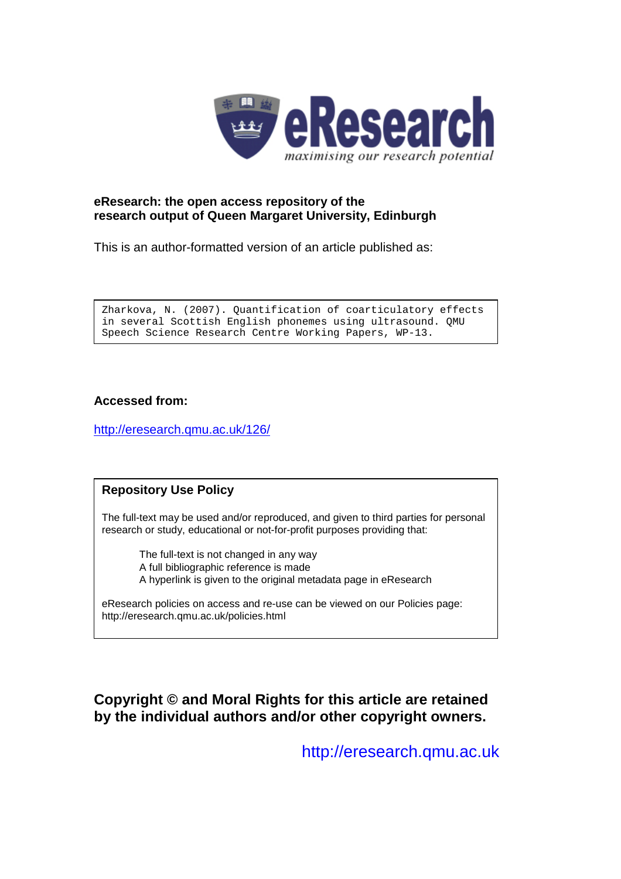

## **eResearch: the open access repository of the research output of Queen Margaret University, Edinburgh**

This is an author-formatted version of an article published as:

```
Zharkova, N. (2007). Quantification of coarticulatory effects 
in several Scottish English phonemes using ultrasound. QMU 
Speech Science Research Centre Working Papers, WP-13.
```
## **Accessed from:**

http://eresearch.qmu.ac.uk/126/

## **Repository Use Policy**

The full-text may be used and/or reproduced, and given to third parties for personal research or study, educational or not-for-profit purposes providing that:

- The full-text is not changed in any way
- A full bibliographic reference is made
- A hyperlink is given to the original metadata page in eResearch

eResearch policies on access and re-use can be viewed on our Policies page: http://eresearch.qmu.ac.uk/policies.html

**Copyright © and Moral Rights for this article are retained by the individual authors and/or other copyright owners.** 

http://eresearch.qmu.ac.uk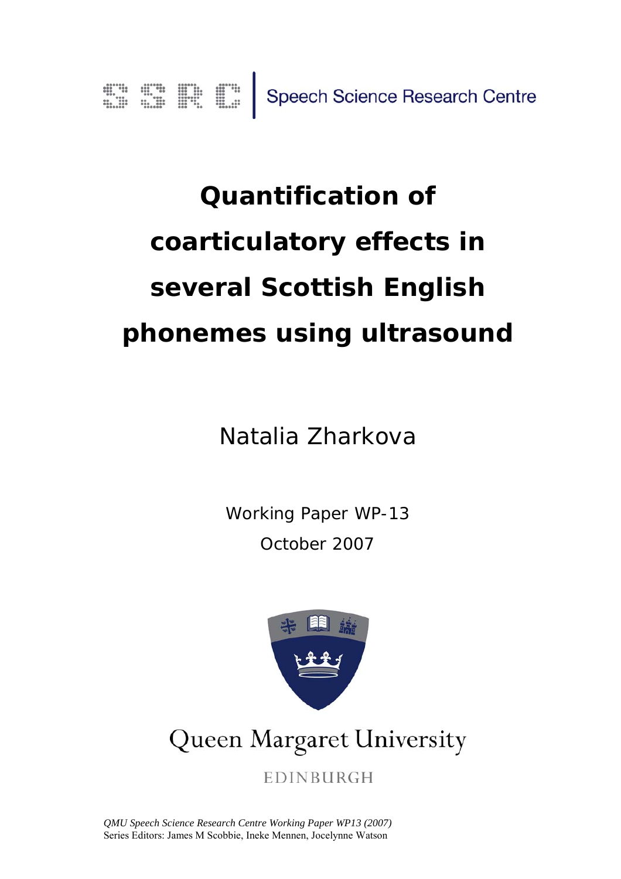EN EN EN Speech Science Research Centre

# **Quantification of coarticulatory effects in several Scottish English phonemes using ultrasound**

Natalia Zharkova

*Working Paper WP-13 October 2007* 



Queen Margaret University

EDINBURGH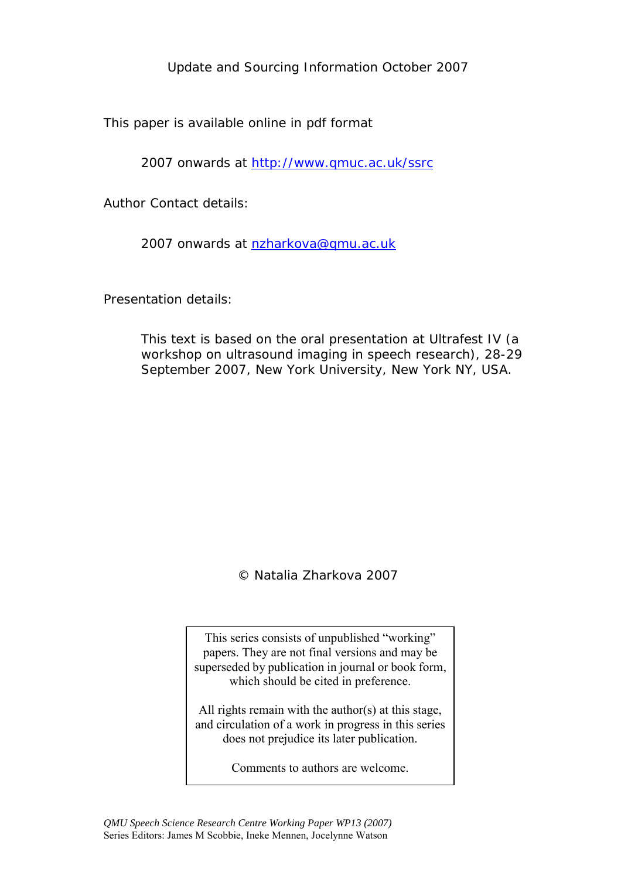This paper is available online in pdf format

• 2007 onwards at http://www.qmuc.ac.uk/ssrc

Author Contact details:

• 2007 onwards at **nzharkova@qmu.ac.uk** 

Presentation details:

• This text is based on the oral presentation at Ultrafest IV (a workshop on ultrasound imaging in speech research), 28-29 September 2007, New York University, New York NY, USA.

© Natalia Zharkova 2007

This series consists of unpublished "working" papers. They are not final versions and may be superseded by publication in journal or book form, which should be cited in preference.

All rights remain with the author(s) at this stage, and circulation of a work in progress in this series does not prejudice its later publication.

Comments to authors are welcome.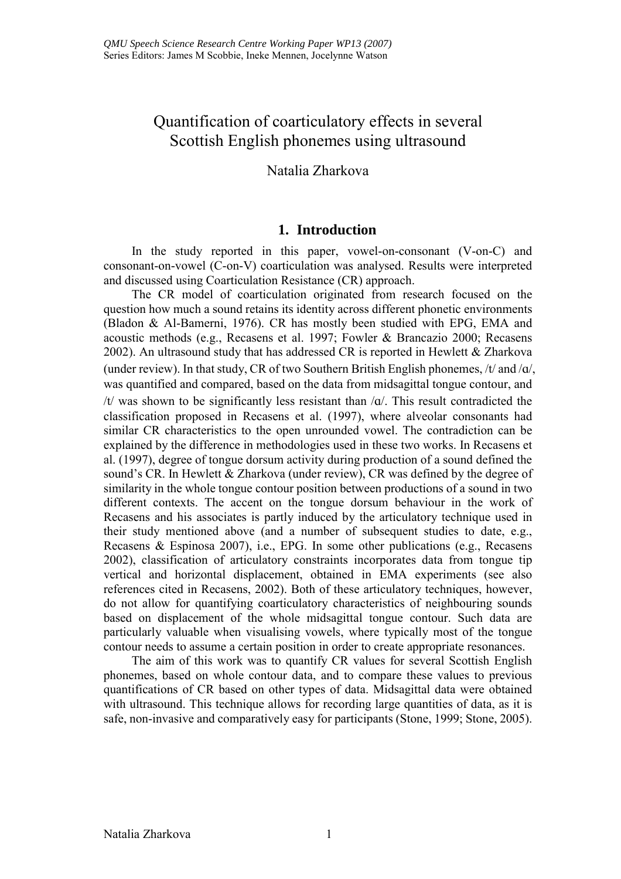## Quantification of coarticulatory effects in several Scottish English phonemes using ultrasound

## Natalia Zharkova

## **1. Introduction**

In the study reported in this paper, vowel-on-consonant (V-on-C) and consonant-on-vowel (C-on-V) coarticulation was analysed. Results were interpreted and discussed using Coarticulation Resistance (CR) approach.

The CR model of coarticulation originated from research focused on the question how much a sound retains its identity across different phonetic environments (Bladon & Al-Bamerni, 1976). CR has mostly been studied with EPG, EMA and acoustic methods (e.g., Recasens et al. 1997; Fowler & Brancazio 2000; Recasens 2002). An ultrasound study that has addressed CR is reported in Hewlett & Zharkova (under review). In that study, CR of two Southern British English phonemes,  $/t$  and  $/a$ , was quantified and compared, based on the data from midsagittal tongue contour, and /t/ was shown to be significantly less resistant than  $/q$ . This result contradicted the classification proposed in Recasens et al. (1997), where alveolar consonants had similar CR characteristics to the open unrounded vowel. The contradiction can be explained by the difference in methodologies used in these two works. In Recasens et al. (1997), degree of tongue dorsum activity during production of a sound defined the sound's CR. In Hewlett & Zharkova (under review), CR was defined by the degree of similarity in the whole tongue contour position between productions of a sound in two different contexts. The accent on the tongue dorsum behaviour in the work of Recasens and his associates is partly induced by the articulatory technique used in their study mentioned above (and a number of subsequent studies to date, e.g., Recasens & Espinosa 2007), i.e., EPG. In some other publications (e.g., Recasens 2002), classification of articulatory constraints incorporates data from tongue tip vertical and horizontal displacement, obtained in EMA experiments (see also references cited in Recasens, 2002). Both of these articulatory techniques, however, do not allow for quantifying coarticulatory characteristics of neighbouring sounds based on displacement of the whole midsagittal tongue contour. Such data are particularly valuable when visualising vowels, where typically most of the tongue contour needs to assume a certain position in order to create appropriate resonances.

The aim of this work was to quantify CR values for several Scottish English phonemes, based on whole contour data, and to compare these values to previous quantifications of CR based on other types of data. Midsagittal data were obtained with ultrasound. This technique allows for recording large quantities of data, as it is safe, non-invasive and comparatively easy for participants (Stone, 1999; Stone, 2005).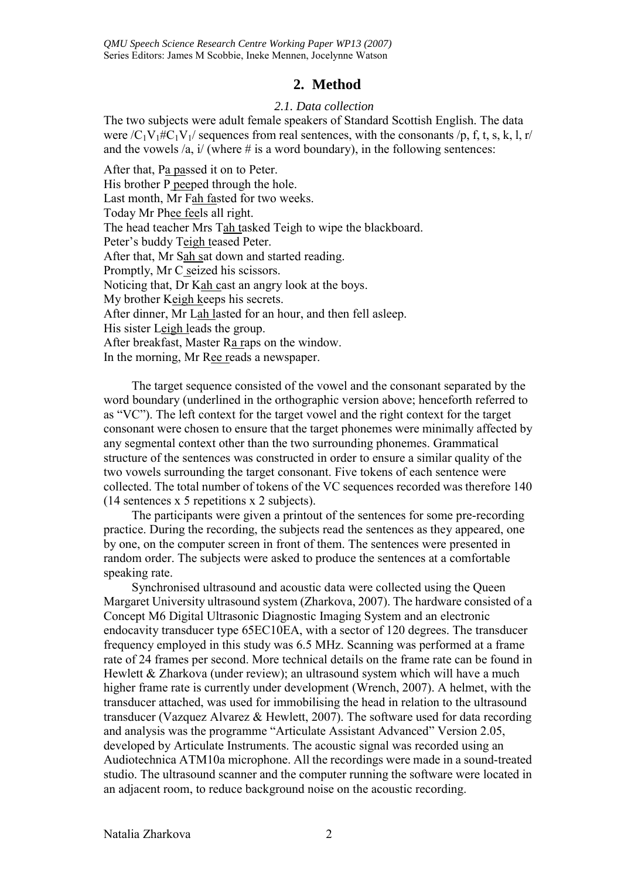## **2. Method**

## *2.1. Data collection*

The two subjects were adult female speakers of Standard Scottish English. The data were  $/C_1V_1\#C_1V_1$  sequences from real sentences, with the consonants /p, f, t, s, k, l, r/ and the vowels  $\alpha$ , i/ (where  $\#$  is a word boundary), in the following sentences:

After that, Pa passed it on to Peter. His brother P peeped through the hole. Last month, Mr Fah fasted for two weeks. Today Mr Phee feels all right. The head teacher Mrs Tah tasked Teigh to wipe the blackboard. Peter's buddy Teigh teased Peter. After that, Mr Sah sat down and started reading. Promptly, Mr C seized his scissors. Noticing that, Dr Kah cast an angry look at the boys. My brother Keigh keeps his secrets. After dinner, Mr Lah lasted for an hour, and then fell asleep. His sister Leigh leads the group. After breakfast, Master Ra raps on the window. In the morning, Mr Ree reads a newspaper.

The target sequence consisted of the vowel and the consonant separated by the word boundary (underlined in the orthographic version above; henceforth referred to as "VC"). The left context for the target vowel and the right context for the target consonant were chosen to ensure that the target phonemes were minimally affected by any segmental context other than the two surrounding phonemes. Grammatical structure of the sentences was constructed in order to ensure a similar quality of the two vowels surrounding the target consonant. Five tokens of each sentence were collected. The total number of tokens of the VC sequences recorded was therefore 140 (14 sentences x 5 repetitions x 2 subjects).

The participants were given a printout of the sentences for some pre-recording practice. During the recording, the subjects read the sentences as they appeared, one by one, on the computer screen in front of them. The sentences were presented in random order. The subjects were asked to produce the sentences at a comfortable speaking rate.

Synchronised ultrasound and acoustic data were collected using the Queen Margaret University ultrasound system (Zharkova, 2007). The hardware consisted of a Concept M6 Digital Ultrasonic Diagnostic Imaging System and an electronic endocavity transducer type 65EC10EA, with a sector of 120 degrees. The transducer frequency employed in this study was 6.5 MHz. Scanning was performed at a frame rate of 24 frames per second. More technical details on the frame rate can be found in Hewlett & Zharkova (under review); an ultrasound system which will have a much higher frame rate is currently under development (Wrench, 2007). A helmet, with the transducer attached, was used for immobilising the head in relation to the ultrasound transducer (Vazquez Alvarez & Hewlett, 2007). The software used for data recording and analysis was the programme "Articulate Assistant Advanced" Version 2.05, developed by Articulate Instruments. The acoustic signal was recorded using an Audiotechnica ATM10a microphone. All the recordings were made in a sound-treated studio. The ultrasound scanner and the computer running the software were located in an adjacent room, to reduce background noise on the acoustic recording.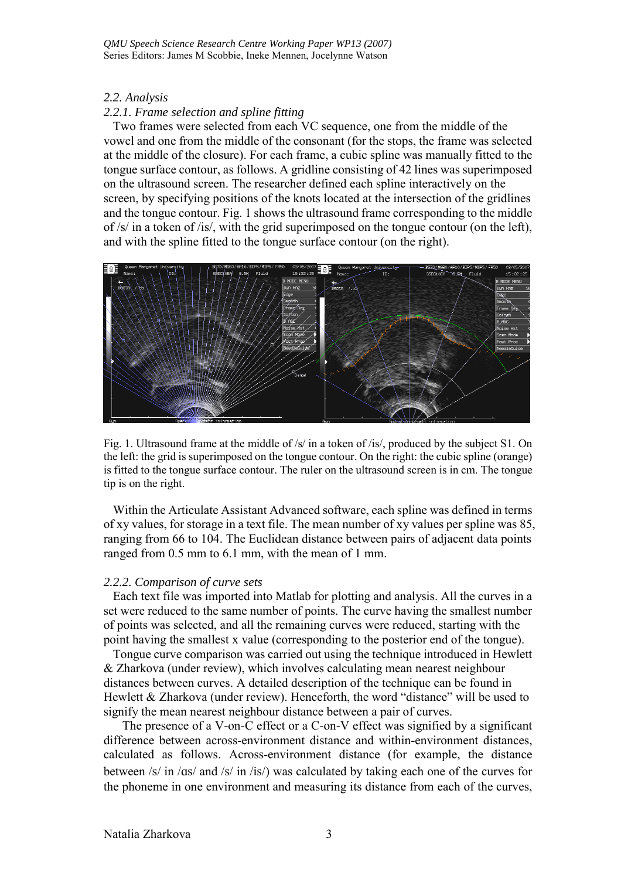## *2.2. Analysis*

## *2.2.1. Frame selection and spline fitting*

Two frames were selected from each VC sequence, one from the middle of the vowel and one from the middle of the consonant (for the stops, the frame was selected at the middle of the closure). For each frame, a cubic spline was manually fitted to the tongue surface contour, as follows. A gridline consisting of 42 lines was superimposed on the ultrasound screen. The researcher defined each spline interactively on the screen, by specifying positions of the knots located at the intersection of the gridlines and the tongue contour. Fig. 1 shows the ultrasound frame corresponding to the middle of /s/ in a token of /is/, with the grid superimposed on the tongue contour (on the left), and with the spline fitted to the tongue surface contour (on the right).



Fig. 1. Ultrasound frame at the middle of /s/ in a token of /is/, produced by the subject S1. On the left: the grid is superimposed on the tongue contour. On the right: the cubic spline (orange) is fitted to the tongue surface contour. The ruler on the ultrasound screen is in cm. The tongue tip is on the right.

Within the Articulate Assistant Advanced software, each spline was defined in terms of xy values, for storage in a text file. The mean number of xy values per spline was 85, ranging from 66 to 104. The Euclidean distance between pairs of adjacent data points ranged from 0.5 mm to 6.1 mm, with the mean of 1 mm.

## *2.2.2. Comparison of curve sets*

Each text file was imported into Matlab for plotting and analysis. All the curves in a set were reduced to the same number of points. The curve having the smallest number of points was selected, and all the remaining curves were reduced, starting with the point having the smallest x value (corresponding to the posterior end of the tongue).

Tongue curve comparison was carried out using the technique introduced in Hewlett & Zharkova (under review), which involves calculating mean nearest neighbour distances between curves. A detailed description of the technique can be found in Hewlett & Zharkova (under review). Henceforth, the word "distance" will be used to signify the mean nearest neighbour distance between a pair of curves.

The presence of a V-on-C effect or a C-on-V effect was signified by a significant difference between across-environment distance and within-environment distances, calculated as follows. Across-environment distance (for example, the distance between /s/ in / $\alpha$ s/ and /s/ in /is/) was calculated by taking each one of the curves for the phoneme in one environment and measuring its distance from each of the curves,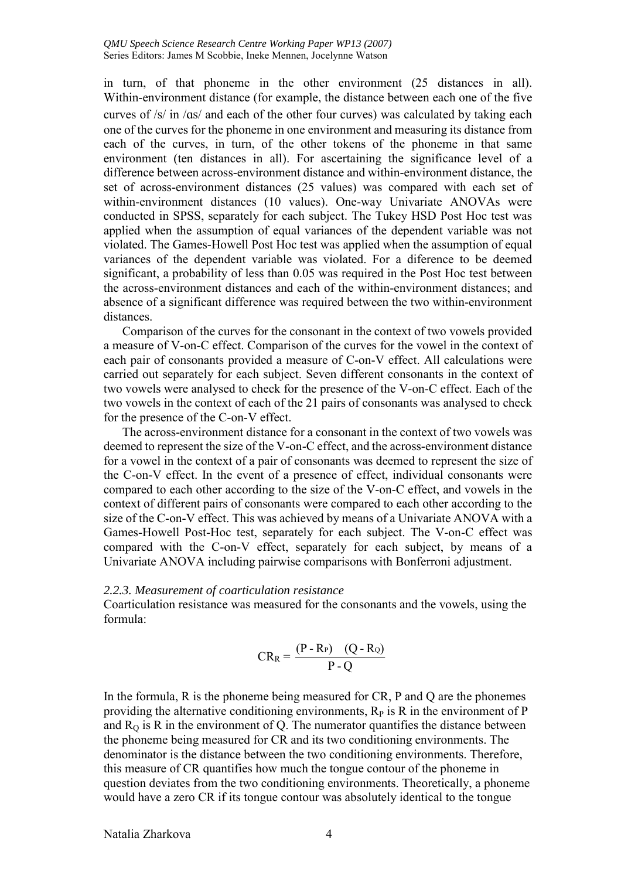in turn, of that phoneme in the other environment (25 distances in all). Within-environment distance (for example, the distance between each one of the five curves of  $\frac{s}{\sin \alpha}$  in  $\frac{s}{\cos \alpha}$  and each of the other four curves) was calculated by taking each one of the curves for the phoneme in one environment and measuring its distance from each of the curves, in turn, of the other tokens of the phoneme in that same environment (ten distances in all). For ascertaining the significance level of a difference between across-environment distance and within-environment distance, the set of across-environment distances (25 values) was compared with each set of within-environment distances (10 values). One-way Univariate ANOVAs were conducted in SPSS, separately for each subject. The Tukey HSD Post Hoc test was applied when the assumption of equal variances of the dependent variable was not violated. The Games-Howell Post Hoc test was applied when the assumption of equal variances of the dependent variable was violated. For a diference to be deemed significant, a probability of less than 0.05 was required in the Post Hoc test between the across-environment distances and each of the within-environment distances; and absence of a significant difference was required between the two within-environment distances.

Comparison of the curves for the consonant in the context of two vowels provided a measure of V-on-C effect. Comparison of the curves for the vowel in the context of each pair of consonants provided a measure of C-on-V effect. All calculations were carried out separately for each subject. Seven different consonants in the context of two vowels were analysed to check for the presence of the V-on-C effect. Each of the two vowels in the context of each of the 21 pairs of consonants was analysed to check for the presence of the C-on-V effect.

The across-environment distance for a consonant in the context of two vowels was deemed to represent the size of the V-on-C effect, and the across-environment distance for a vowel in the context of a pair of consonants was deemed to represent the size of the C-on-V effect. In the event of a presence of effect, individual consonants were compared to each other according to the size of the V-on-C effect, and vowels in the context of different pairs of consonants were compared to each other according to the size of the C-on-V effect. This was achieved by means of a Univariate ANOVA with a Games-Howell Post-Hoc test, separately for each subject. The V-on-C effect was compared with the C-on-V effect, separately for each subject, by means of a Univariate ANOVA including pairwise comparisons with Bonferroni adjustment.

#### *2.2.3. Measurement of coarticulation resistance*

Coarticulation resistance was measured for the consonants and the vowels, using the formula:

$$
CR_R = \frac{(P - R_P) + (Q - R_Q)}{P - Q}
$$

In the formula, R is the phoneme being measured for CR, P and Q are the phonemes providing the alternative conditioning environments,  $R<sub>P</sub>$  is R in the environment of P and  $R<sub>O</sub>$  is R in the environment of O. The numerator quantifies the distance between the phoneme being measured for CR and its two conditioning environments. The denominator is the distance between the two conditioning environments. Therefore, this measure of CR quantifies how much the tongue contour of the phoneme in question deviates from the two conditioning environments. Theoretically, a phoneme would have a zero CR if its tongue contour was absolutely identical to the tongue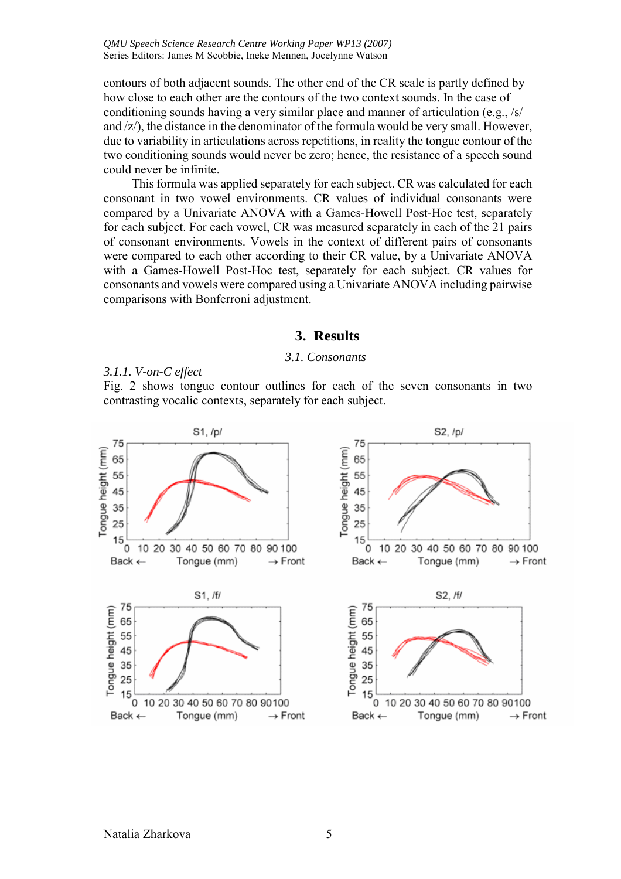contours of both adjacent sounds. The other end of the CR scale is partly defined by how close to each other are the contours of the two context sounds. In the case of conditioning sounds having a very similar place and manner of articulation (e.g., /s/ and /z/), the distance in the denominator of the formula would be very small. However, due to variability in articulations across repetitions, in reality the tongue contour of the two conditioning sounds would never be zero; hence, the resistance of a speech sound could never be infinite.

This formula was applied separately for each subject. CR was calculated for each consonant in two vowel environments. CR values of individual consonants were compared by a Univariate ANOVA with a Games-Howell Post-Hoc test, separately for each subject. For each vowel, CR was measured separately in each of the 21 pairs of consonant environments. Vowels in the context of different pairs of consonants were compared to each other according to their CR value, by a Univariate ANOVA with a Games-Howell Post-Hoc test, separately for each subject. CR values for consonants and vowels were compared using a Univariate ANOVA including pairwise comparisons with Bonferroni adjustment.

## **3. Results**

#### *3.1. Consonants*

*3.1.1. V-on-C effect* 

Fig. 2 shows tongue contour outlines for each of the seven consonants in two contrasting vocalic contexts, separately for each subject.

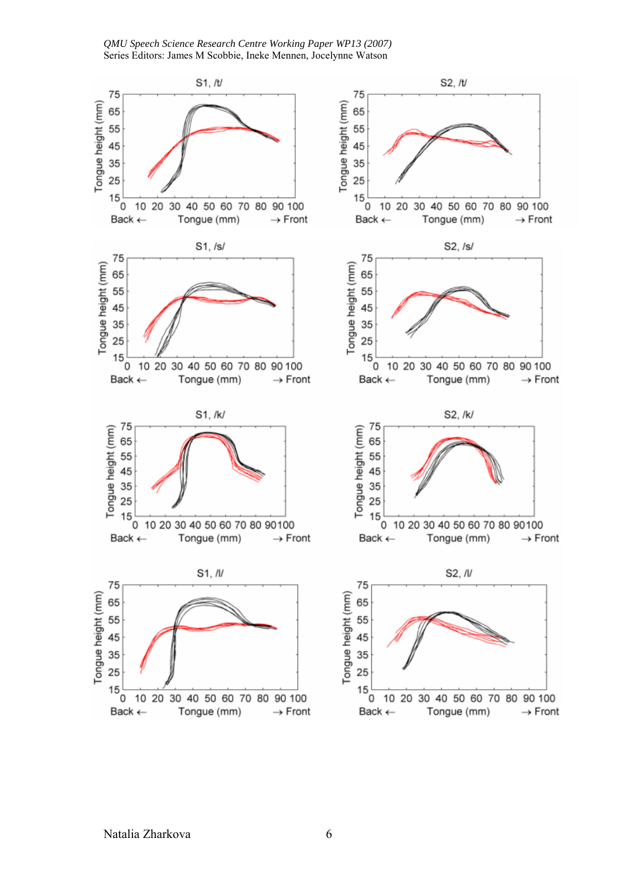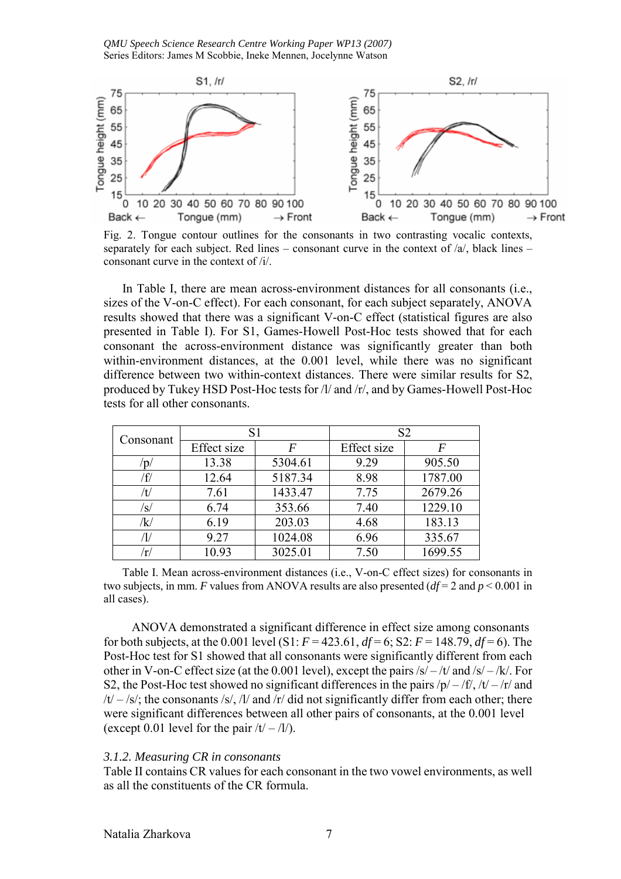

Fig. 2. Tongue contour outlines for the consonants in two contrasting vocalic contexts, separately for each subject. Red lines – consonant curve in the context of  $\alpha$ , black lines – consonant curve in the context of /i/.

In Table I, there are mean across-environment distances for all consonants (i.e., sizes of the V-on-C effect). For each consonant, for each subject separately, ANOVA results showed that there was a significant V-on-C effect (statistical figures are also presented in Table I). For S1, Games-Howell Post-Hoc tests showed that for each consonant the across-environment distance was significantly greater than both within-environment distances, at the 0.001 level, while there was no significant difference between two within-context distances. There were similar results for S2, produced by Tukey HSD Post-Hoc tests for /l/ and /r/, and by Games-Howell Post-Hoc tests for all other consonants.

| Consonant | S <sub>1</sub> |         | S <sub>2</sub> |         |  |  |  |
|-----------|----------------|---------|----------------|---------|--|--|--|
|           | Effect size    | F       | Effect size    |         |  |  |  |
|           | 13.38          | 5304.61 | 9.29           | 905.50  |  |  |  |
| /f/       | 12.64          | 5187.34 | 8.98           | 1787.00 |  |  |  |
| /t/       | 7.61           | 1433.47 | 7.75           | 2679.26 |  |  |  |
| 's/       | 6.74           | 353.66  | 7.40           | 1229.10 |  |  |  |
| /k/       | 6.19           | 203.03  | 4.68           | 183.13  |  |  |  |
|           | 9.27           | 1024.08 | 6.96           | 335.67  |  |  |  |
| $\eta'$   | 10.93          | 3025.01 | 7.50           | 1699.55 |  |  |  |

Table I. Mean across-environment distances (i.e., V-on-C effect sizes) for consonants in two subjects, in mm. *F* values from ANOVA results are also presented  $(df=2$  and  $p < 0.001$  in all cases).

ANOVA demonstrated a significant difference in effect size among consonants for both subjects, at the 0.001 level (S1: *F* = 423.61, *df* = 6; S2: *F* = 148.79, *df* = 6). The Post-Hoc test for S1 showed that all consonants were significantly different from each other in V-on-C effect size (at the 0.001 level), except the pairs  $\frac{s}{-t}$  and  $\frac{s}{-k}$ . For S2, the Post-Hoc test showed no significant differences in the pairs  $/p/-/f'$ ,  $/t/-/r'$  and  $/t/-$  /s/; the consonants /s/, /l/ and /r/ did not significantly differ from each other; there were significant differences between all other pairs of consonants, at the 0.001 level (except 0.01 level for the pair  $/t/-/1/$ ).

#### *3.1.2. Measuring CR in consonants*

Table II contains CR values for each consonant in the two vowel environments, as well as all the constituents of the CR formula.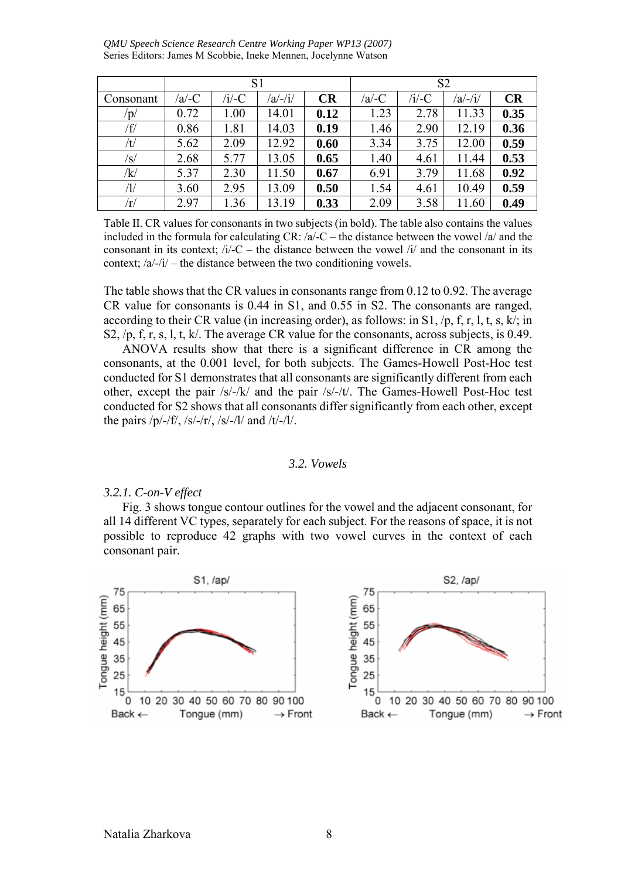|           |             | S <sub>1</sub> |           |      | S <sub>2</sub> |          |         |      |  |  |
|-----------|-------------|----------------|-----------|------|----------------|----------|---------|------|--|--|
| Consonant | $\alpha$ -C | $/i$ /-C       | $/a/-/i/$ | CR   | $/a$ -C        | $/i$ /-C | /a/-/i/ | CR   |  |  |
| /p/       | 0.72        | 1.00           | 14.01     | 0.12 | 1.23           | 2.78     | 11.33   | 0.35 |  |  |
| /f/       | 0.86        | 1.81           | 14.03     | 0.19 | 1.46           | 2.90     | 12.19   | 0.36 |  |  |
| /t/       | 5.62        | 2.09           | 12.92     | 0.60 | 3.34           | 3.75     | 12.00   | 0.59 |  |  |
| /s/       | 2.68        | 5.77           | 13.05     | 0.65 | 1.40           | 4.61     | 11.44   | 0.53 |  |  |
| /k/       | 5.37        | 2.30           | 11.50     | 0.67 | 6.91           | 3.79     | 11.68   | 0.92 |  |  |
| $\eta/$   | 3.60        | 2.95           | 13.09     | 0.50 | 1.54           | 4.61     | 10.49   | 0.59 |  |  |
| /r/       | 2.97        | 1.36           | 13.19     | 0.33 | 2.09           | 3.58     | 11.60   | 0.49 |  |  |

Table II. CR values for consonants in two subjects (in bold). The table also contains the values included in the formula for calculating CR:  $/a$ -C – the distance between the vowel  $/a$  and the consonant in its context;  $/i$ -C – the distance between the vowel  $/i$  and the consonant in its context;  $\frac{a}{-i}$  – the distance between the two conditioning vowels.

The table shows that the CR values in consonants range from 0.12 to 0.92. The average CR value for consonants is 0.44 in S1, and 0.55 in S2. The consonants are ranged, according to their CR value (in increasing order), as follows: in S1,  $/p$ , f, r, l, t, s, k/; in S2, /p, f, r, s, l, t, k/. The average CR value for the consonants, across subjects, is 0.49.

ANOVA results show that there is a significant difference in CR among the consonants, at the 0.001 level, for both subjects. The Games-Howell Post-Hoc test conducted for S1 demonstrates that all consonants are significantly different from each other, except the pair /s/-/k/ and the pair /s/-/t/. The Games-Howell Post-Hoc test conducted for S2 shows that all consonants differ significantly from each other, except the pairs  $/p/-/f/$ ,  $/s/-/r/$ ,  $/s/-/l/$  and  $/t/-/l/$ .

#### *3.2. Vowels*

#### *3.2.1. C-on-V effect*

Fig. 3 shows tongue contour outlines for the vowel and the adjacent consonant, for all 14 different VC types, separately for each subject. For the reasons of space, it is not possible to reproduce 42 graphs with two vowel curves in the context of each consonant pair.

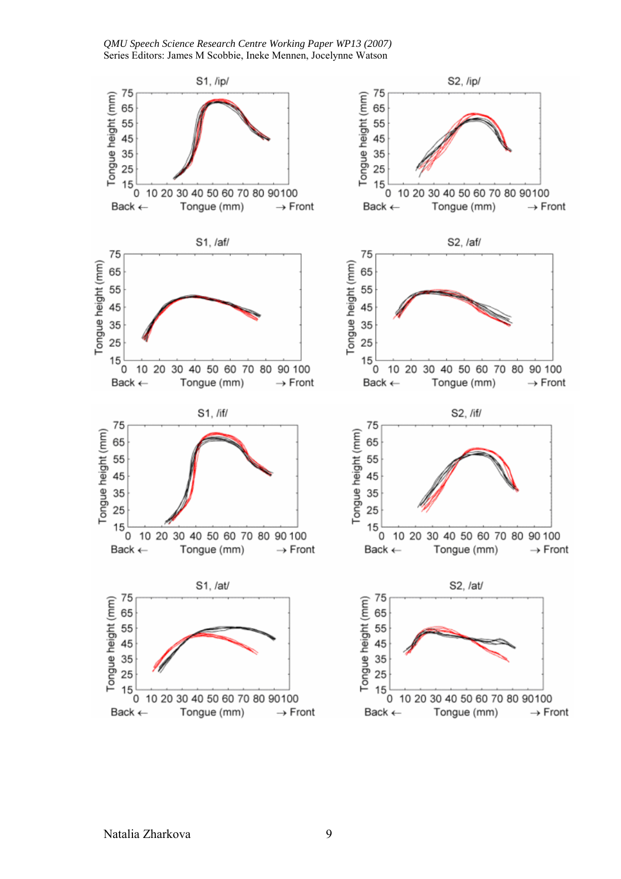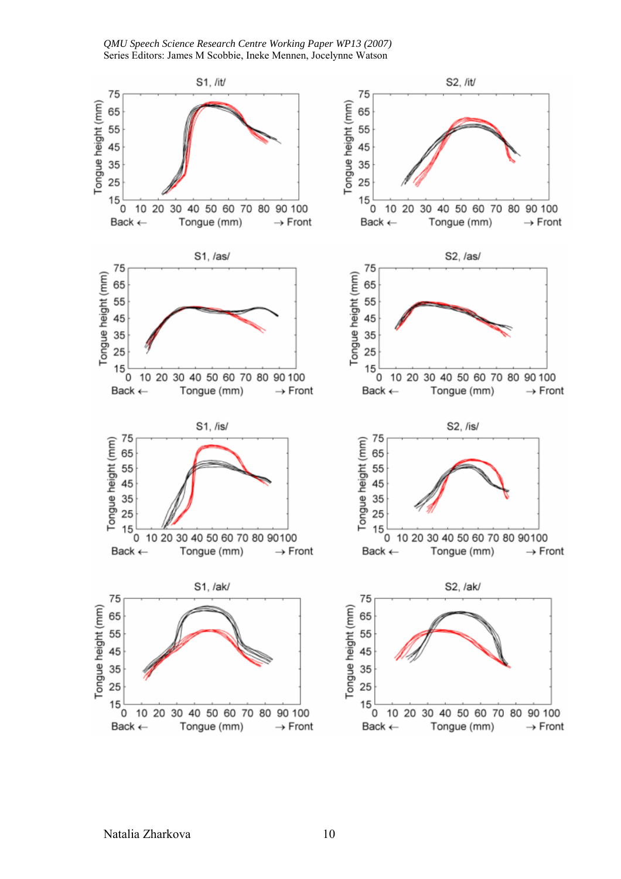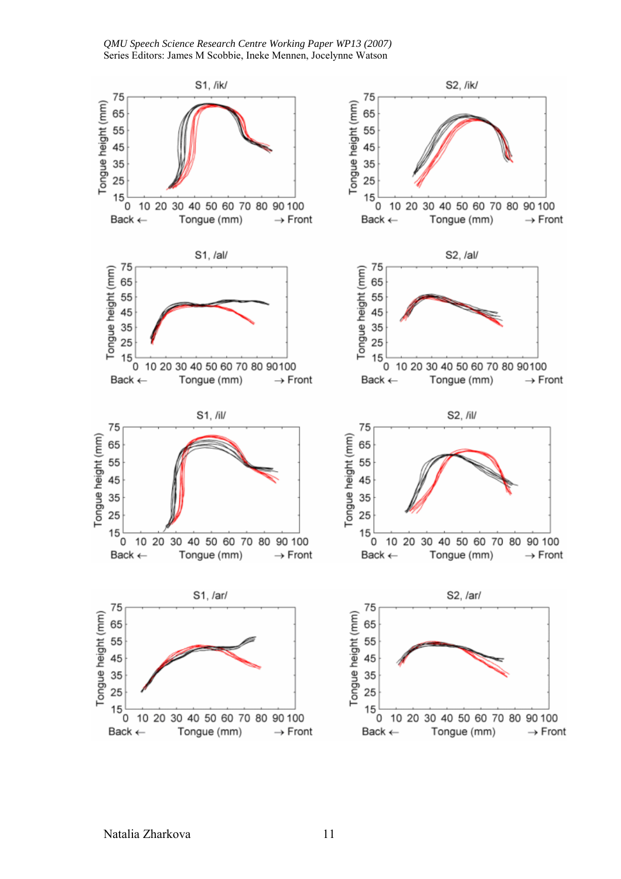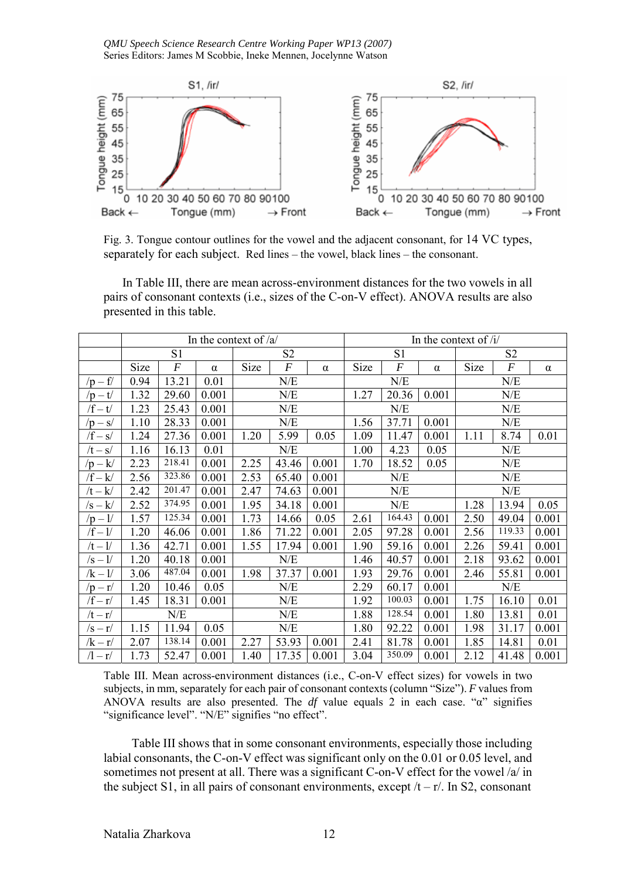

Fig. 3. Tongue contour outlines for the vowel and the adjacent consonant, for 14 VC types, separately for each subject. Red lines – the vowel, black lines – the consonant.

In Table III, there are mean across-environment distances for the two vowels in all pairs of consonant contexts (i.e., sizes of the C-on-V effect). ANOVA results are also presented in this table.

|                  | In the context of $/a/$ |          |          |                        |                  |          |      | In the context of $/i/$ |             |                |                  |          |  |  |
|------------------|-------------------------|----------|----------|------------------------|------------------|----------|------|-------------------------|-------------|----------------|------------------|----------|--|--|
|                  | S1                      |          |          |                        | S <sub>2</sub>   |          |      | S1                      |             | S <sub>2</sub> |                  |          |  |  |
|                  | Size                    | $\cal F$ | $\alpha$ | Size                   | $\boldsymbol{F}$ | $\alpha$ | Size | $\cal F$                |             | Size           | $\boldsymbol{F}$ | $\alpha$ |  |  |
| $/p - f/$        | 0.94                    | 13.21    | 0.01     | N/E                    |                  |          |      | N/E                     |             |                | N/E              |          |  |  |
| $/p-t/$          | 1.32                    | 29.60    | 0.001    | N/E                    |                  |          | 1.27 | 20.36                   | 0.001       | N/E            |                  |          |  |  |
| $/f-t/$          | 1.23                    | 25.43    | 0.001    |                        | N/E              |          |      | N/E                     |             | N/E            |                  |          |  |  |
| $/p - s/$        | 1.10                    | 28.33    | 0.001    |                        | N/E              |          | 1.56 | 37.71                   | 0.001       |                | N/E              |          |  |  |
| $/f - s/$        | 1.24                    | 27.36    | 0.001    | 1.20                   | 5.99<br>0.05     |          | 1.09 | 11.47                   | 0.001       | 1.11           | 8.74             | 0.01     |  |  |
| $/t - s/$        | 1.16                    | 16.13    | 0.01     |                        | N/E              |          | 1.00 | 4.23                    | 0.05        |                | N/E              |          |  |  |
| $/p - k/$        | 2.23                    | 218.41   | 0.001    | 2.25<br>43.46<br>0.001 |                  |          | 1.70 | 18.52                   | 0.05<br>N/E |                |                  |          |  |  |
| $/f - k/$        | 2.56                    | 323.86   | 0.001    | 2.53                   | 65.40            | 0.001    | N/E  |                         |             | N/E            |                  |          |  |  |
| $/t - k/$        | 2.42                    | 201.47   | 0.001    | 2.47<br>0.001<br>74.63 |                  |          | N/E  |                         |             | N/E            |                  |          |  |  |
| $\sqrt{s-k/2}$   | 2.52                    | 374.95   | 0.001    | 1.95                   | 0.001<br>34.18   |          | N/E  |                         |             | 1.28           | 13.94            | 0.05     |  |  |
| $/p - l/$        | 1.57                    | 125.34   | 0.001    | 1.73                   | 14.66            | 0.05     | 2.61 | 164.43                  | 0.001       | 2.50           | 49.04            | 0.001    |  |  |
| $/f - l$         | 1.20                    | 46.06    | 0.001    | 1.86                   | 71.22            | 0.001    | 2.05 | 97.28                   | 0.001       | 2.56           | 119.33           | 0.001    |  |  |
| $/t - 1/$        | 1.36                    | 42.71    | 0.001    | 1.55                   | 17.94            | 0.001    | 1.90 | 59.16                   | 0.001       | 2.26           | 59.41            | 0.001    |  |  |
| $\sqrt{s} - 1$ / | 1.20                    | 40.18    | 0.001    |                        | N/E              |          | 1.46 | 40.57                   | 0.001       | 2.18           | 93.62            | 0.001    |  |  |
| $/k - 1/$        | 3.06                    | 487.04   | 0.001    | 1.98                   | 37.37            | 0.001    | 1.93 | 29.76                   | 0.001       | 2.46           | 55.81            | 0.001    |  |  |
| $/p - r/$        | 1.20                    | 10.46    | 0.05     |                        | N/E              |          | 2.29 | 60.17                   | 0.001       | N/E            |                  |          |  |  |
| $/f-r/$          | 1.45                    | 18.31    | 0.001    | N/E                    |                  |          | 1.92 | 100.03                  | 0.001       | 1.75           | 16.10            | 0.01     |  |  |
| $/t - r/$        |                         | N/E      |          | N/E                    |                  |          | 1.88 | 128.54                  | 0.001       | 1.80           | 13.81            | 0.01     |  |  |
| $\sqrt{s-r/2}$   | 1.15                    | 11.94    | 0.05     | N/E                    |                  |          | 1.80 | 92.22                   | 0.001       | 1.98           | 31.17            | 0.001    |  |  |
| $/k - r/$        | 2.07                    | 138.14   | 0.001    | 2.27                   | 53.93            | 0.001    | 2.41 | 81.78                   | 0.001       | 1.85           | 14.81            | 0.01     |  |  |
| $/1 - r/$        | 1.73                    | 52.47    | 0.001    | 1.40                   | 17.35            | 0.001    | 3.04 | 350.09                  | 0.001       | 2.12           | 41.48            | 0.001    |  |  |

Table III. Mean across-environment distances (i.e., C-on-V effect sizes) for vowels in two subjects, in mm, separately for each pair of consonant contexts (column "Size"). *F* values from ANOVA results are also presented. The *df* value equals 2 in each case. "α" signifies "significance level". "N/E" signifies "no effect".

Table III shows that in some consonant environments, especially those including labial consonants, the C-on-V effect was significant only on the 0.01 or 0.05 level, and sometimes not present at all. There was a significant C-on-V effect for the vowel /a/ in the subject S1, in all pairs of consonant environments, except  $/t - r/$ . In S2, consonant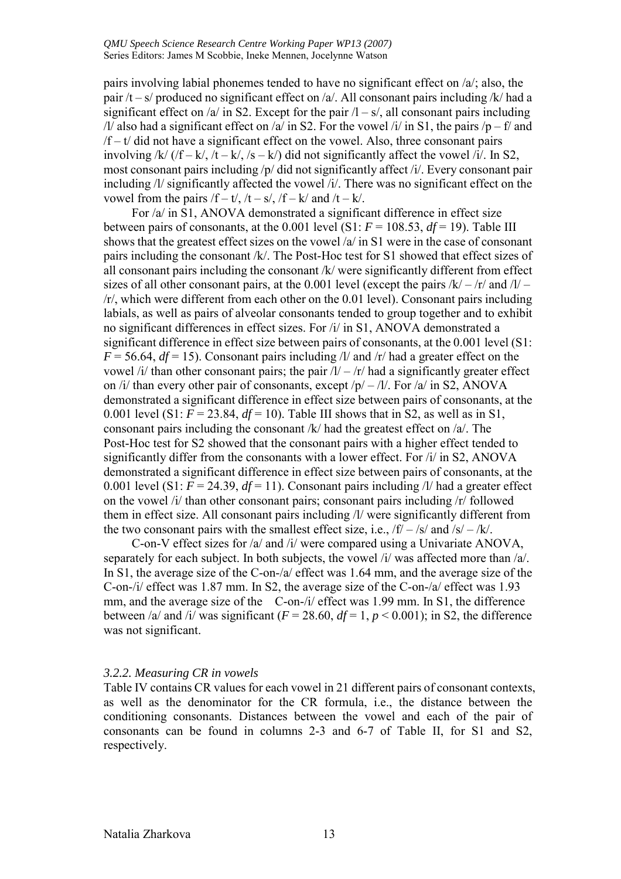pairs involving labial phonemes tended to have no significant effect on /a/; also, the pair  $/t - s$  produced no significant effect on /a/. All consonant pairs including /k/ had a significant effect on /a/ in S2. Except for the pair  $(1 - s)$ , all consonant pairs including  $\frac{1}{4}$  also had a significant effect on  $\frac{1}{4}$  in S2. For the vowel  $\frac{1}{1}$  in S1, the pairs  $\frac{1}{p} - f$  and  $/f - t/d$  did not have a significant effect on the vowel. Also, three consonant pairs involving /k/  $((f - k)/(t - k)/(s - k))$  did not significantly affect the vowel /i/. In S2, most consonant pairs including /p/ did not significantly affect /i/. Every consonant pair including /l/ significantly affected the vowel /i/. There was no significant effect on the vowel from the pairs  $/f - t/$ ,  $/t - s/$ ,  $/f - k/$  and  $/t - k/$ .

For /a/ in S1, ANOVA demonstrated a significant difference in effect size between pairs of consonants, at the 0.001 level (S1:  $F = 108.53$ ,  $df = 19$ ). Table III shows that the greatest effect sizes on the vowel /a/ in S1 were in the case of consonant pairs including the consonant /k/. The Post-Hoc test for S1 showed that effect sizes of all consonant pairs including the consonant /k/ were significantly different from effect sizes of all other consonant pairs, at the 0.001 level (except the pairs  $/k/$  –  $/r/$  and  $/l$  – /r/, which were different from each other on the 0.01 level). Consonant pairs including labials, as well as pairs of alveolar consonants tended to group together and to exhibit no significant differences in effect sizes. For /i/ in S1, ANOVA demonstrated a significant difference in effect size between pairs of consonants, at the 0.001 level (S1:  $F = 56.64$ ,  $df = 15$ ). Consonant pairs including  $\frac{1}{a}$  and  $\frac{r}{\pi}$  had a greater effect on the vowel /i/ than other consonant pairs; the pair  $/l - /r/$  had a significantly greater effect on /i/ than every other pair of consonants, except /p/  $-$  /l/. For /a/ in S2, ANOVA demonstrated a significant difference in effect size between pairs of consonants, at the 0.001 level (S1:  $F = 23.84$ ,  $df = 10$ ). Table III shows that in S2, as well as in S1, consonant pairs including the consonant /k/ had the greatest effect on /a/. The Post-Hoc test for S2 showed that the consonant pairs with a higher effect tended to significantly differ from the consonants with a lower effect. For /i/ in S2, ANOVA demonstrated a significant difference in effect size between pairs of consonants, at the 0.001 level (S1:  $F = 24.39$ ,  $df = 11$ ). Consonant pairs including /l/ had a greater effect on the vowel /i/ than other consonant pairs; consonant pairs including /r/ followed them in effect size. All consonant pairs including /l/ were significantly different from the two consonant pairs with the smallest effect size, i.e.,  $/f - |s|$  and  $|s| - |k|$ .

C-on-V effect sizes for /a/ and /i/ were compared using a Univariate ANOVA, separately for each subject. In both subjects, the vowel  $\pi/$  was affected more than  $\pi/$ . In S1, the average size of the C-on-/a/ effect was 1.64 mm, and the average size of the C-on-/i/ effect was 1.87 mm. In S2, the average size of the C-on-/a/ effect was 1.93 mm, and the average size of the C-on-/i/ effect was 1.99 mm. In S1, the difference between /a/ and /i/ was significant ( $F = 28.60$ ,  $df = 1$ ,  $p < 0.001$ ); in S2, the difference was not significant.

## *3.2.2. Measuring CR in vowels*

Table IV contains CR values for each vowel in 21 different pairs of consonant contexts, as well as the denominator for the CR formula, i.e., the distance between the conditioning consonants. Distances between the vowel and each of the pair of consonants can be found in columns 2-3 and 6-7 of Table II, for S1 and S2, respectively.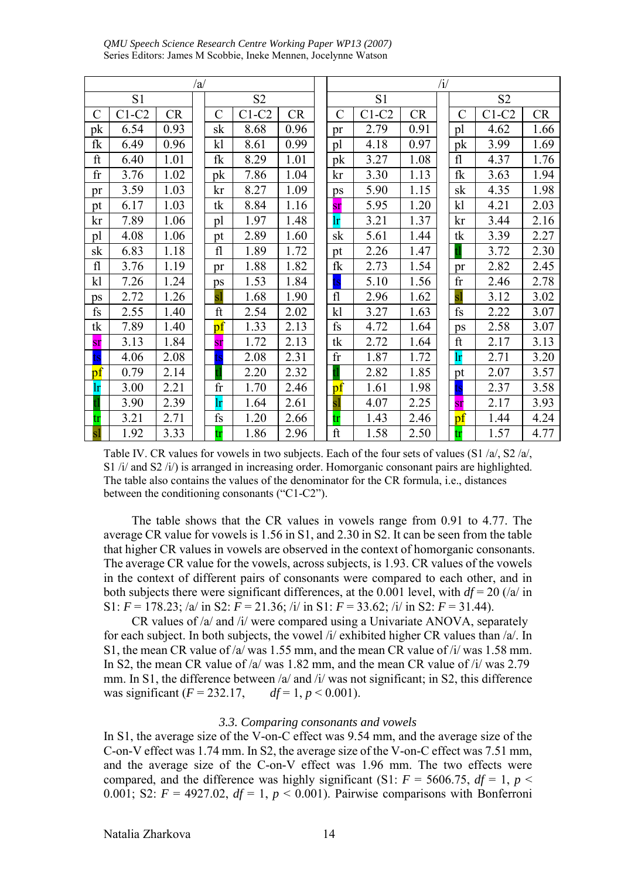| /a                  |         |           |  |                        |         |           | /i/                  |         |           |                |               |         |           |  |
|---------------------|---------|-----------|--|------------------------|---------|-----------|----------------------|---------|-----------|----------------|---------------|---------|-----------|--|
|                     | S1      |           |  | S <sub>2</sub>         |         |           | S1                   |         |           | S <sub>2</sub> |               |         |           |  |
| $\mathcal{C}$       | $C1-C2$ | <b>CR</b> |  | $\mathcal{C}$          | $C1-C2$ | <b>CR</b> | $\mathcal{C}$        | $C1-C2$ | <b>CR</b> |                | $\mathcal{C}$ | $C1-C2$ | <b>CR</b> |  |
| pk                  | 6.54    | 0.93      |  | sk                     | 8.68    | 0.96      | pr                   | 2.79    | 0.91      |                | pl            | 4.62    | 1.66      |  |
| fk                  | 6.49    | 0.96      |  | kl                     | 8.61    | 0.99      | pl                   | 4.18    | 0.97      |                | pk            | 3.99    | 1.69      |  |
| ft                  | 6.40    | 1.01      |  | fk                     | 8.29    | 1.01      | pk                   | 3.27    | 1.08      |                | fl            | 4.37    | 1.76      |  |
| $\operatorname{fr}$ | 3.76    | 1.02      |  | pk                     | 7.86    | 1.04      | kr                   | 3.30    | 1.13      |                | fk            | 3.63    | 1.94      |  |
| pr                  | 3.59    | 1.03      |  | kr                     | 8.27    | 1.09      | ps                   | 5.90    | 1.15      |                | sk            | 4.35    | 1.98      |  |
| pt                  | 6.17    | 1.03      |  | tk                     | 8.84    | 1.16      | <b>Sr</b>            | 5.95    | 1.20      |                | kl            | 4.21    | 2.03      |  |
| kr                  | 7.89    | 1.06      |  | pl                     | 1.97    | 1.48      | $\ln$                | 3.21    | 1.37      |                | kr            | 3.44    | 2.16      |  |
| pl                  | 4.08    | 1.06      |  | pt                     | 2.89    | 1.60      | sk                   | 5.61    | 1.44      |                | tk            | 3.39    | 2.27      |  |
| sk                  | 6.83    | 1.18      |  | f1                     | 1.89    | 1.72      | pt                   | 2.26    | 1.47      |                |               | 3.72    | 2.30      |  |
| fl                  | 3.76    | 1.19      |  | pr                     | 1.88    | 1.82      | fk                   | 2.73    | 1.54      |                | pr            | 2.82    | 2.45      |  |
| kl                  | 7.26    | 1.24      |  | ps                     | 1.53    | 1.84      | ts                   | 5.10    | 1.56      |                | fr            | 2.46    | 2.78      |  |
| ps                  | 2.72    | 1.26      |  | sl                     | 1.68    | 1.90      | f1                   | 2.96    | 1.62      |                | sl            | 3.12    | 3.02      |  |
| $\mathbf{fs}$       | 2.55    | 1.40      |  | $_{\rm ft}$            | 2.54    | 2.02      | kl                   | 3.27    | 1.63      |                | fs            | 2.22    | 3.07      |  |
| tk                  | 7.89    | 1.40      |  | pf                     | 1.33    | 2.13      | $\mathbf{fs}$        | 4.72    | 1.64      |                | ps            | 2.58    | 3.07      |  |
| ST                  | 3.13    | 1.84      |  | <b>Sr</b>              | 1.72    | 2.13      | tk                   | 2.72    | 1.64      |                | ft            | 2.17    | 3.13      |  |
| $t_{\rm S}$         | 4.06    | 2.08      |  | ts                     | 2.08    | 2.31      | fr                   | 1.87    | 1.72      |                | $\ln$         | 2.71    | 3.20      |  |
| pf                  | 0.79    | 2.14      |  |                        | 2.20    | 2.32      |                      | 2.82    | 1.85      |                | pt            | 2.07    | 3.57      |  |
| $\ln$               | 3.00    | 2.21      |  | $_{\rm fr}$            | 1.70    | 2.46      | pf                   | 1.61    | 1.98      |                | $\mathsf{ts}$ | 2.37    | 3.58      |  |
|                     | 3.90    | 2.39      |  | $\overline{\text{lr}}$ | 1.64    | 2.61      | $\overline{\rm s}$ l | 4.07    | 2.25      |                | <b>Sr</b>     | 2.17    | 3.93      |  |
| tr                  | 3.21    | 2.71      |  | $\mathbf{fs}$          | 1.20    | 2.66      | tr                   | 1.43    | 2.46      |                | pf            | 1.44    | 4.24      |  |
| sl                  | 1.92    | 3.33      |  | tr                     | 1.86    | 2.96      | ft                   | 1.58    | 2.50      |                | tr            | 1.57    | 4.77      |  |

Table IV. CR values for vowels in two subjects. Each of the four sets of values (S1 /a/, S2 /a/, S1 /i/ and S2 /i/) is arranged in increasing order. Homorganic consonant pairs are highlighted. The table also contains the values of the denominator for the CR formula, i.e., distances between the conditioning consonants ("C1-C2").

The table shows that the CR values in vowels range from 0.91 to 4.77. The average CR value for vowels is 1.56 in S1, and 2.30 in S2. It can be seen from the table that higher CR values in vowels are observed in the context of homorganic consonants. The average CR value for the vowels, across subjects, is 1.93. CR values of the vowels in the context of different pairs of consonants were compared to each other, and in both subjects there were significant differences, at the 0.001 level, with *df* = 20 (/a/ in S1:  $F = 178.23$ ; /a/ in S2:  $F = 21.36$ ; /i/ in S1:  $F = 33.62$ ; /i/ in S2:  $F = 31.44$ ).

CR values of /a/ and /i/ were compared using a Univariate ANOVA, separately for each subject. In both subjects, the vowel /i/ exhibited higher CR values than  $\alpha$ . In S1, the mean CR value of /a/ was 1.55 mm, and the mean CR value of /i/ was 1.58 mm. In S2, the mean CR value of /a/ was 1.82 mm, and the mean CR value of /i/ was 2.79 mm. In S1, the difference between /a/ and /i/ was not significant; in S2, this difference was significant  $(F = 232.17, df = 1, p < 0.001)$ .

#### *3.3. Comparing consonants and vowels*

In S1, the average size of the V-on-C effect was 9.54 mm, and the average size of the C-on-V effect was 1.74 mm. In S2, the average size of the V-on-C effect was 7.51 mm, and the average size of the C-on-V effect was 1.96 mm. The two effects were compared, and the difference was highly significant (S1:  $F = 5606.75$ ,  $df = 1$ ,  $p <$ 0.001; S2:  $F = 4927.02$ ,  $df = 1$ ,  $p < 0.001$ ). Pairwise comparisons with Bonferroni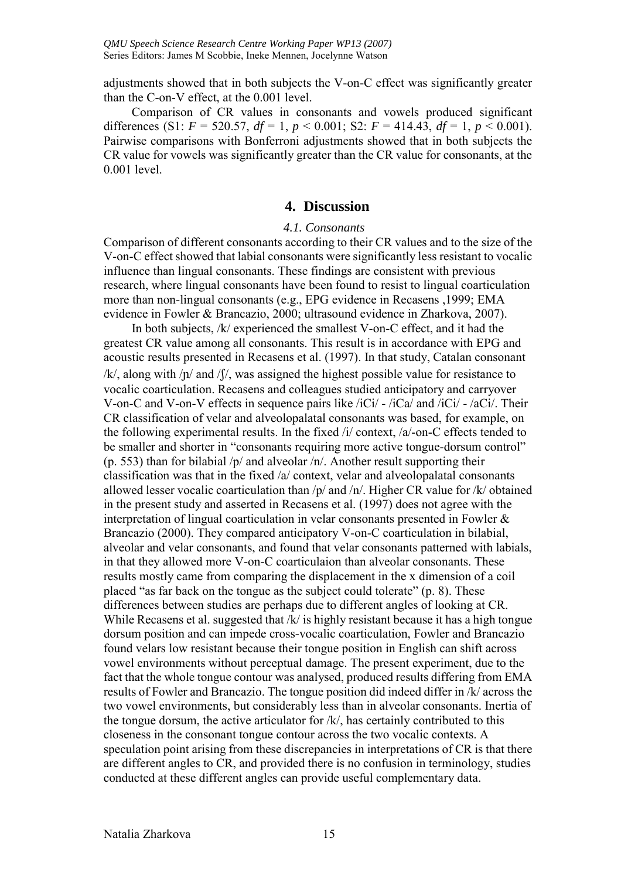adjustments showed that in both subjects the V-on-C effect was significantly greater than the C-on-V effect, at the 0.001 level.

Comparison of CR values in consonants and vowels produced significant differences (S1:  $F = 520.57$ ,  $df = 1$ ,  $p < 0.001$ ; S2:  $F = 414.43$ ,  $df = 1$ ,  $p < 0.001$ ). Pairwise comparisons with Bonferroni adjustments showed that in both subjects the CR value for vowels was significantly greater than the CR value for consonants, at the 0.001 level.

## **4. Discussion**

#### *4.1. Consonants*

Comparison of different consonants according to their CR values and to the size of the V-on-C effect showed that labial consonants were significantly less resistant to vocalic influence than lingual consonants. These findings are consistent with previous research, where lingual consonants have been found to resist to lingual coarticulation more than non-lingual consonants (e.g., EPG evidence in Recasens ,1999; EMA evidence in Fowler & Brancazio, 2000; ultrasound evidence in Zharkova, 2007).

In both subjects, /k/ experienced the smallest V-on-C effect, and it had the greatest CR value among all consonants. This result is in accordance with EPG and acoustic results presented in Recasens et al. (1997). In that study, Catalan consonant /k/, along with / $p/d$  and / $\beta$ /, was assigned the highest possible value for resistance to vocalic coarticulation. Recasens and colleagues studied anticipatory and carryover V-on-C and V-on-V effects in sequence pairs like /iCi/ - /iCa/ and /iCi/ - /aCi/. Their CR classification of velar and alveolopalatal consonants was based, for example, on the following experimental results. In the fixed /i/ context, /a/-on-C effects tended to be smaller and shorter in "consonants requiring more active tongue-dorsum control" (p. 553) than for bilabial /p/ and alveolar /n/. Another result supporting their classification was that in the fixed /a/ context, velar and alveolopalatal consonants allowed lesser vocalic coarticulation than  $/p$  and  $/n$ . Higher CR value for  $/k$  obtained in the present study and asserted in Recasens et al. (1997) does not agree with the interpretation of lingual coarticulation in velar consonants presented in Fowler & Brancazio (2000). They compared anticipatory V-on-C coarticulation in bilabial, alveolar and velar consonants, and found that velar consonants patterned with labials, in that they allowed more V-on-C coarticulaion than alveolar consonants. These results mostly came from comparing the displacement in the x dimension of a coil placed "as far back on the tongue as the subject could tolerate" (p. 8). These differences between studies are perhaps due to different angles of looking at CR. While Recasens et al. suggested that /k/ is highly resistant because it has a high tongue dorsum position and can impede cross-vocalic coarticulation, Fowler and Brancazio found velars low resistant because their tongue position in English can shift across vowel environments without perceptual damage. The present experiment, due to the fact that the whole tongue contour was analysed, produced results differing from EMA results of Fowler and Brancazio. The tongue position did indeed differ in /k/ across the two vowel environments, but considerably less than in alveolar consonants. Inertia of the tongue dorsum, the active articulator for /k/, has certainly contributed to this closeness in the consonant tongue contour across the two vocalic contexts. A speculation point arising from these discrepancies in interpretations of CR is that there are different angles to CR, and provided there is no confusion in terminology, studies conducted at these different angles can provide useful complementary data.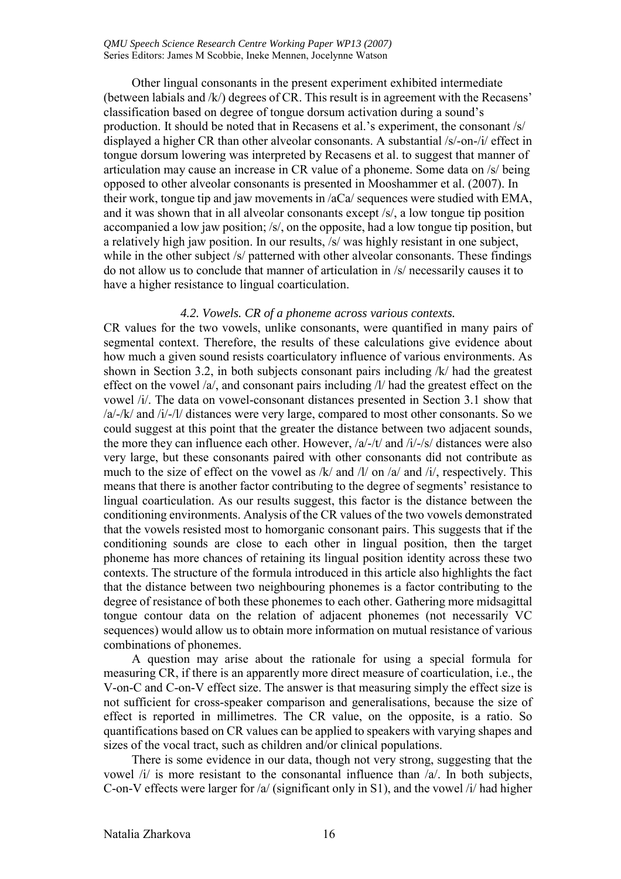Other lingual consonants in the present experiment exhibited intermediate (between labials and /k/) degrees of CR. This result is in agreement with the Recasens' classification based on degree of tongue dorsum activation during a sound's production. It should be noted that in Recasens et al.'s experiment, the consonant /s/ displayed a higher CR than other alveolar consonants. A substantial /s/-on-/i/ effect in tongue dorsum lowering was interpreted by Recasens et al. to suggest that manner of articulation may cause an increase in CR value of a phoneme. Some data on /s/ being opposed to other alveolar consonants is presented in Mooshammer et al. (2007). In their work, tongue tip and jaw movements in /aCa/ sequences were studied with EMA, and it was shown that in all alveolar consonants except /s/, a low tongue tip position accompanied a low jaw position; /s/, on the opposite, had a low tongue tip position, but a relatively high jaw position. In our results, /s/ was highly resistant in one subject, while in the other subject /s/ patterned with other alveolar consonants. These findings do not allow us to conclude that manner of articulation in /s/ necessarily causes it to have a higher resistance to lingual coarticulation.

#### *4.2. Vowels. CR of a phoneme across various contexts.*

CR values for the two vowels, unlike consonants, were quantified in many pairs of segmental context. Therefore, the results of these calculations give evidence about how much a given sound resists coarticulatory influence of various environments. As shown in Section 3.2, in both subjects consonant pairs including /k/ had the greatest effect on the vowel /a/, and consonant pairs including /l/ had the greatest effect on the vowel /i/. The data on vowel-consonant distances presented in Section 3.1 show that /a/-/k/ and /i/-/l/ distances were very large, compared to most other consonants. So we could suggest at this point that the greater the distance between two adjacent sounds, the more they can influence each other. However, /a/-/t/ and /i/-/s/ distances were also very large, but these consonants paired with other consonants did not contribute as much to the size of effect on the vowel as  $/k/$  and  $1/$  on  $\alpha/$  and  $\beta/$ , respectively. This means that there is another factor contributing to the degree of segments' resistance to lingual coarticulation. As our results suggest, this factor is the distance between the conditioning environments. Analysis of the CR values of the two vowels demonstrated that the vowels resisted most to homorganic consonant pairs. This suggests that if the conditioning sounds are close to each other in lingual position, then the target phoneme has more chances of retaining its lingual position identity across these two contexts. The structure of the formula introduced in this article also highlights the fact that the distance between two neighbouring phonemes is a factor contributing to the degree of resistance of both these phonemes to each other. Gathering more midsagittal tongue contour data on the relation of adjacent phonemes (not necessarily VC sequences) would allow us to obtain more information on mutual resistance of various combinations of phonemes.

A question may arise about the rationale for using a special formula for measuring CR, if there is an apparently more direct measure of coarticulation, i.e., the V-on-C and C-on-V effect size. The answer is that measuring simply the effect size is not sufficient for cross-speaker comparison and generalisations, because the size of effect is reported in millimetres. The CR value, on the opposite, is a ratio. So quantifications based on CR values can be applied to speakers with varying shapes and sizes of the vocal tract, such as children and/or clinical populations.

There is some evidence in our data, though not very strong, suggesting that the vowel /i/ is more resistant to the consonantal influence than /a/. In both subjects, C-on-V effects were larger for  $\alpha$  (significant only in S1), and the vowel  $\alpha$  had higher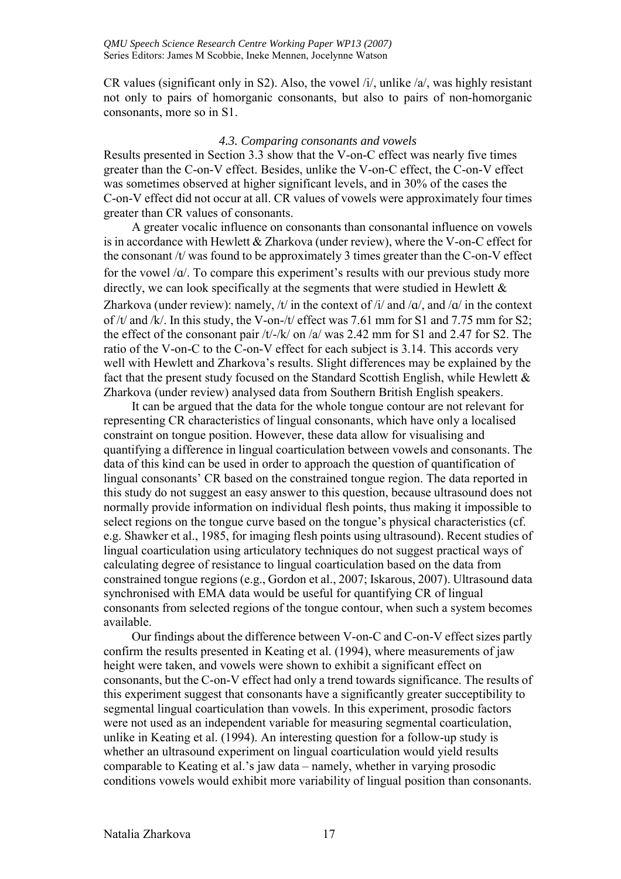CR values (significant only in S2). Also, the vowel /i/, unlike /a/, was highly resistant not only to pairs of homorganic consonants, but also to pairs of non-homorganic consonants, more so in S1.

## *4.3. Comparing consonants and vowels*

Results presented in Section 3.3 show that the V-on-C effect was nearly five times greater than the C-on-V effect. Besides, unlike the V-on-C effect, the C-on-V effect was sometimes observed at higher significant levels, and in 30% of the cases the C-on-V effect did not occur at all. CR values of vowels were approximately four times greater than CR values of consonants.

A greater vocalic influence on consonants than consonantal influence on vowels is in accordance with Hewlett & Zharkova (under review), where the V-on-C effect for the consonant /t/ was found to be approximately 3 times greater than the C-on-V effect for the vowel  $/a$ . To compare this experiment's results with our previous study more directly, we can look specifically at the segments that were studied in Hewlett  $\&$ Zharkova (under review): namely, /t/ in the context of /i/ and / $a$ /, and / $a$ / in the context of /t/ and /k/. In this study, the V-on-/t/ effect was 7.61 mm for S1 and 7.75 mm for S2; the effect of the consonant pair /t/-/k/ on /a/ was 2.42 mm for S1 and 2.47 for S2. The ratio of the V-on-C to the C-on-V effect for each subject is 3.14. This accords very well with Hewlett and Zharkova's results. Slight differences may be explained by the fact that the present study focused on the Standard Scottish English, while Hewlett & Zharkova (under review) analysed data from Southern British English speakers.

It can be argued that the data for the whole tongue contour are not relevant for representing CR characteristics of lingual consonants, which have only a localised constraint on tongue position. However, these data allow for visualising and quantifying a difference in lingual coarticulation between vowels and consonants. The data of this kind can be used in order to approach the question of quantification of lingual consonants' CR based on the constrained tongue region. The data reported in this study do not suggest an easy answer to this question, because ultrasound does not normally provide information on individual flesh points, thus making it impossible to select regions on the tongue curve based on the tongue's physical characteristics (cf. e.g. Shawker et al., 1985, for imaging flesh points using ultrasound). Recent studies of lingual coarticulation using articulatory techniques do not suggest practical ways of calculating degree of resistance to lingual coarticulation based on the data from constrained tongue regions (e.g., Gordon et al., 2007; Iskarous, 2007). Ultrasound data synchronised with EMA data would be useful for quantifying CR of lingual consonants from selected regions of the tongue contour, when such a system becomes available.

Our findings about the difference between V-on-C and C-on-V effect sizes partly confirm the results presented in Keating et al. (1994), where measurements of jaw height were taken, and vowels were shown to exhibit a significant effect on consonants, but the C-on-V effect had only a trend towards significance. The results of this experiment suggest that consonants have a significantly greater succeptibility to segmental lingual coarticulation than vowels. In this experiment, prosodic factors were not used as an independent variable for measuring segmental coarticulation, unlike in Keating et al. (1994). An interesting question for a follow-up study is whether an ultrasound experiment on lingual coarticulation would yield results comparable to Keating et al.'s jaw data – namely, whether in varying prosodic conditions vowels would exhibit more variability of lingual position than consonants.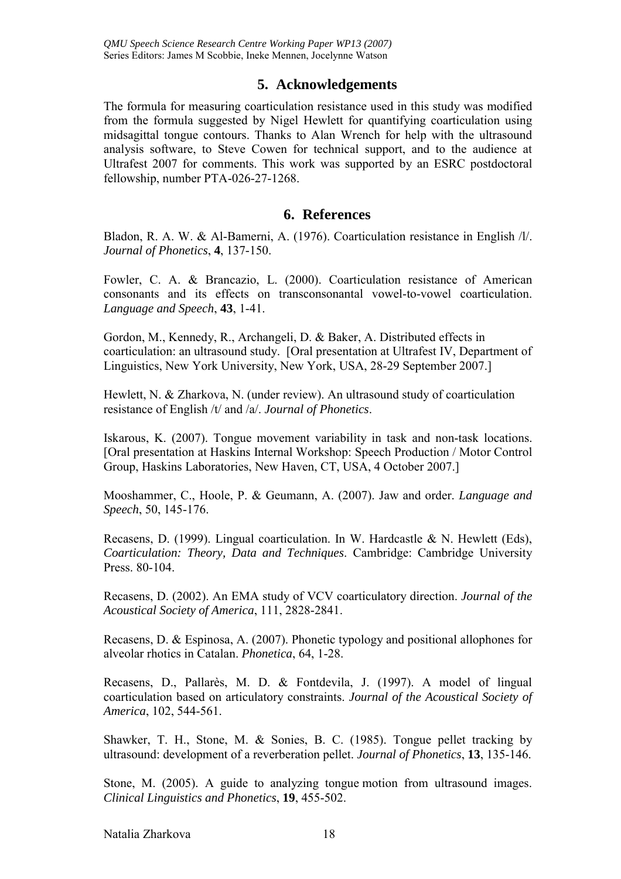## **5. Acknowledgements**

The formula for measuring coarticulation resistance used in this study was modified from the formula suggested by Nigel Hewlett for quantifying coarticulation using midsagittal tongue contours. Thanks to Alan Wrench for help with the ultrasound analysis software, to Steve Cowen for technical support, and to the audience at Ultrafest 2007 for comments. This work was supported by an ESRC postdoctoral fellowship, number PTA-026-27-1268.

## **6. References**

Bladon, R. A. W. & Al-Bamerni, A. (1976). Coarticulation resistance in English /l/. *Journal of Phonetics*, **4**, 137-150.

Fowler, C. A. & Brancazio, L. (2000). Coarticulation resistance of American consonants and its effects on transconsonantal vowel-to-vowel coarticulation. *Language and Speech*, **43**, 1-41.

Gordon, M., Kennedy, R., Archangeli, D. & Baker, A. Distributed effects in coarticulation: an ultrasound study. [Oral presentation at Ultrafest IV, Department of Linguistics, New York University, New York, USA, 28-29 September 2007.]

Hewlett, N. & Zharkova, N. (under review). An ultrasound study of coarticulation resistance of English /t/ and /a/. *Journal of Phonetics*.

Iskarous, K. (2007). Tongue movement variability in task and non-task locations. [Oral presentation at Haskins Internal Workshop: Speech Production / Motor Control Group, Haskins Laboratories, New Haven, CT, USA, 4 October 2007.]

Mooshammer, C., Hoole, P. & Geumann, A. (2007). Jaw and order. *Language and Speech*, 50, 145-176.

Recasens, D. (1999). Lingual coarticulation. In W. Hardcastle & N. Hewlett (Eds), *Coarticulation: Theory, Data and Techniques*. Cambridge: Cambridge University Press. 80-104.

Recasens, D. (2002). An EMA study of VCV coarticulatory direction. *Journal of the Acoustical Society of America*, 111, 2828-2841.

Recasens, D. & Espinosa, A. (2007). Phonetic typology and positional allophones for alveolar rhotics in Catalan. *Phonetica*, 64, 1-28.

Recasens, D., Pallarès, M. D. & Fontdevila, J. (1997). A model of lingual coarticulation based on articulatory constraints. *Journal of the Acoustical Society of America*, 102, 544-561.

Shawker, T. H., Stone, M. & Sonies, B. C. (1985). Tongue pellet tracking by ultrasound: development of a reverberation pellet. *Journal of Phonetics*, **13**, 135-146.

Stone, M. (2005). A guide to analyzing tongue motion from ultrasound images. *Clinical Linguistics and Phonetics*, **19**, 455-502.